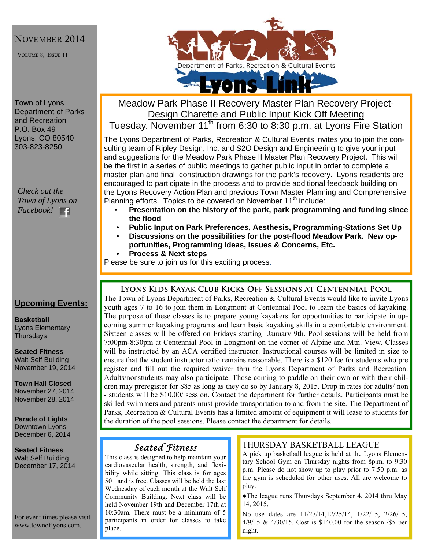### NOVEMBER 2014

VOLUME 8, ISSUE 11

Town of Lyons Department of Parks and Recreation P.O. Box 49 Lyons, CO 80540 303-823-8250

*Check out the Town of Lyons on Facebook!* 

### **Upcoming Events:**

**Basketball**  Lyons Elementary **Thursdays** 

**Seated Fitness**  Walt Self Building November 19, 2014

**Town Hall Closed**  November 27, 2014 November 28, 2014

**Parade of Lights**  Downtown Lyons December 6, 2014

**Seated Fitness**  Walt Self Building December 17, 2014

For event times please visit www.townoflyons.com.



## Meadow Park Phase II Recovery Master Plan Recovery Project-Design Charette and Public Input Kick Off Meeting Tuesday, November 11<sup>th</sup> from 6:30 to 8:30 p.m. at Lyons Fire Station

The Lyons Department of Parks, Recreation & Cultural Events invites you to join the consulting team of Ripley Design, Inc. and S2O Design and Engineering to give your input and suggestions for the Meadow Park Phase II Master Plan Recovery Project. This will be the first in a series of public meetings to gather public input in order to complete a master plan and final construction drawings for the park's recovery. Lyons residents are encouraged to participate in the process and to provide additional feedback building on the Lyons Recovery Action Plan and previous Town Master Planning and Comprehensive Planning efforts. Topics to be covered on November 11<sup>th</sup> include:

- **Presentation on the history of the park, park programming and funding since the flood**
- **Public Input on Park Preferences, Aesthesis, Programming-Stations Set Up**
- **Discussions on the possibilities for the post-flood Meadow Park. New opportunities, Programming Ideas, Issues & Concerns, Etc.**
- **Process & Next steps**

Please be sure to join us for this exciting process.

#### **Lyons Kids Kayak Club Kicks Off Sessions at Centennial Pool**

The Town of Lyons Department of Parks, Recreation & Cultural Events would like to invite Lyons youth ages 7 to 16 to join them in Longmont at Centennial Pool to learn the basics of kayaking. The purpose of these classes is to prepare young kayakers for opportunities to participate in upcoming summer kayaking programs and learn basic kayaking skills in a comfortable environment. Sixteen classes will be offered on Fridays starting January 9th. Pool sessions will be held from 7:00pm-8:30pm at Centennial Pool in Longmont on the corner of Alpine and Mtn. View. Classes will be instructed by an ACA certified instructor. Instructional courses will be limited in size to ensure that the student instructor ratio remains reasonable. There is a \$120 fee for students who pre register and fill out the required waiver thru the Lyons Department of Parks and Recreation. Adults/nonstudents may also participate. Those coming to paddle on their own or with their children may preregister for \$85 as long as they do so by January 8, 2015. Drop in rates for adults/ non - students will be \$10.00/ session. Contact the department for further details. Participants must be skilled swimmers and parents must provide transportation to and from the site. The Department of Parks, Recreation & Cultural Events has a limited amount of equipment it will lease to students for the duration of the pool sessions. Please contact the department for details.

# *Seated Fitness*

This class is designed to help maintain your cardiovascular health, strength, and flexibility while sitting. This class is for ages 50+ and is free. Classes will be held the last Wednesday of each month at the Walt Self Community Building. Next class will be held November 19th and December 17th at 10:30am. There must be a minimum of 5 participants in order for classes to take place.

#### THURSDAY BASKETBALL LEAGUE

A pick up basketball league is held at the Lyons Elementary School Gym on Thursday nights from 8p.m. to 9:30 p.m. Please do not show up to play prior to 7:50 p.m. as the gym is scheduled for other uses. All are welcome to play.

●The league runs Thursdays September 4, 2014 thru May 14, 2015.

No use dates are 11/27/14,12/25/14, 1/22/15, 2/26/15, 4/9/15 & 4/30/15. Cost is \$140.00 for the season /\$5 per night.